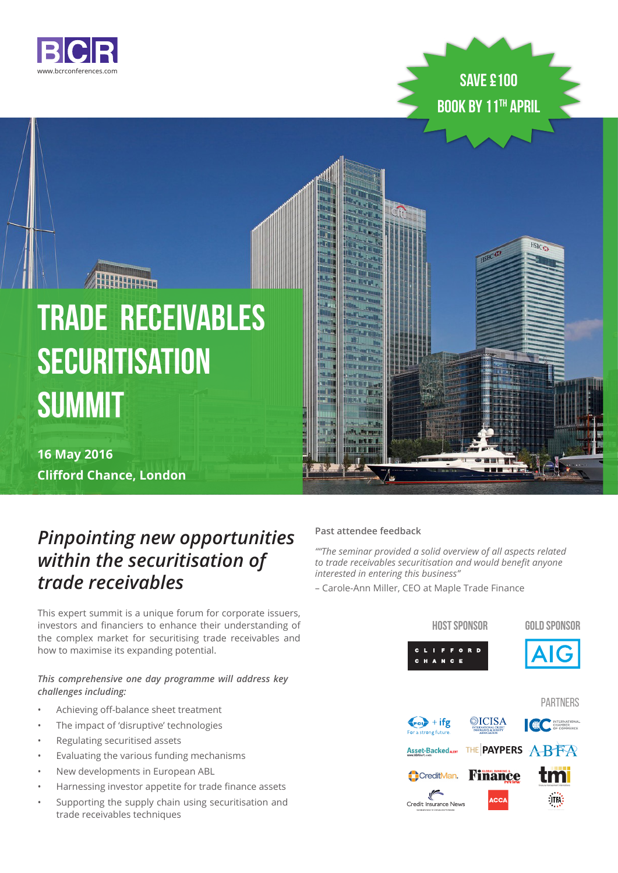



HSBCO

# **Trade Receivables Securitisation Summit**

**HATHARD** 

**16 May 2016 Clifford Chance, London**

### *Pinpointing new opportunities within the securitisation of trade receivables*

This expert summit is a unique forum for corporate issuers, investors and financiers to enhance their understanding of the complex market for securitising trade receivables and how to maximise its expanding potential.

### *This comprehensive one day programme will address key challenges including:*

- Achieving off-balance sheet treatment
- The impact of 'disruptive' technologies
- Regulating securitised assets
- Evaluating the various funding mechanisms
- New developments in European ABL
- Harnessing investor appetite for trade finance assets
- Supporting the supply chain using securitisation and trade receivables techniques

### **Past attendee feedback**

*""The seminar provided a solid overview of all aspects related to trade receivables securitisation and would benefit anyone interested in entering this business"* 

– Carole-Ann Miller, CEO at Maple Trade Finance

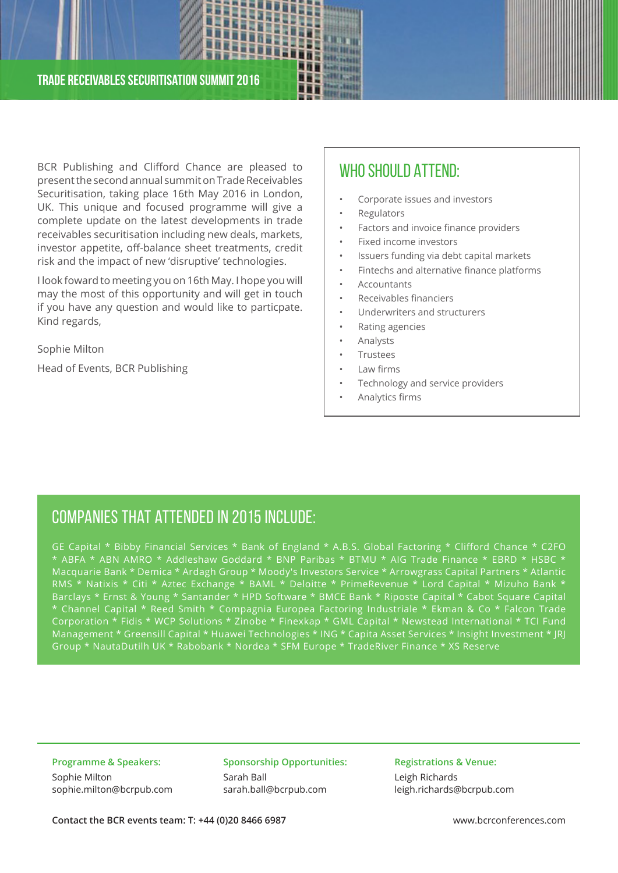BCR Publishing and Clifford Chance are pleased to present the second annual summit on Trade Receivables Securitisation, taking place 16th May 2016 in London, UK. This unique and focused programme will give a complete update on the latest developments in trade receivables securitisation including new deals, markets, investor appetite, off-balance sheet treatments, credit risk and the impact of new 'disruptive' technologies.

I look foward to meeting you on 16th May. I hope you will may the most of this opportunity and will get in touch if you have any question and would like to particpate. Kind regards,

Sophie Milton

Head of Events, BCR Publishing

### WHO SHOULD ATTEND:

- Corporate issues and investors
- **Regulators**

**China** 

**JERRIE** 

- Factors and invoice finance providers
- Fixed income investors
- Issuers funding via debt capital markets
- Fintechs and alternative finance platforms
- Accountants
- Receivables financiers
- Underwriters and structurers
- Rating agencies
- Analysts
- **Trustees**
- Law firms
- Technology and service providers
- Analytics firms

### Companies that attended in 2015 include:

GE Capital \* Bibby Financial Services \* Bank of England \* A.B.S. Global Factoring \* Clifford Chance \* C2FO ABFA \* ABN AMRO \* Addleshaw Goddard \* BNP Paribas \* BTMU \* AIG Trade Finance \* EBRD \* HSBC Macquarie Bank \* Demica \* Ardagh Group \* Moody's Investors Service \* Arrowgrass Capital Partners \* Atlantic RMS \* Natixis \* Citi \* Aztec Exchange \* BAML \* Deloitte \* PrimeRevenue \* Lord Capital \* Mizuho Bank \* Barclays \* Ernst & Young \* Santander \* HPD Software \* BMCE Bank \* Riposte Capital \* Cabot Square Capital \* Channel Capital \* Reed Smith \* Compagnia Europea Factoring Industriale \* Ekman & Co \* Falcon Trade Corporation \* Fidis \* WCP Solutions \* Zinobe \* Finexkap \* GML Capital \* Newstead International \* TCI Fund Management \* Greensill Capital \* Huawei Technologies \* ING \* Capita Asset Services \* Insight Investment \* JRJ Group \* NautaDutilh UK \* Rabobank \* Nordea \* SFM Europe \* TradeRiver Finance \* XS Reserve

**Programme & Speakers:**  Sophie Milton sophie.milton@bcrpub.com **Sponsorship Opportunities:**  Sarah Ball sarah.ball@bcrpub.com

**Registrations & Venue:**  Leigh Richards

leigh.richards@bcrpub.com

**Contact the BCR events team: T: +44 (0)20 8466 6987** www.bcrconferences.com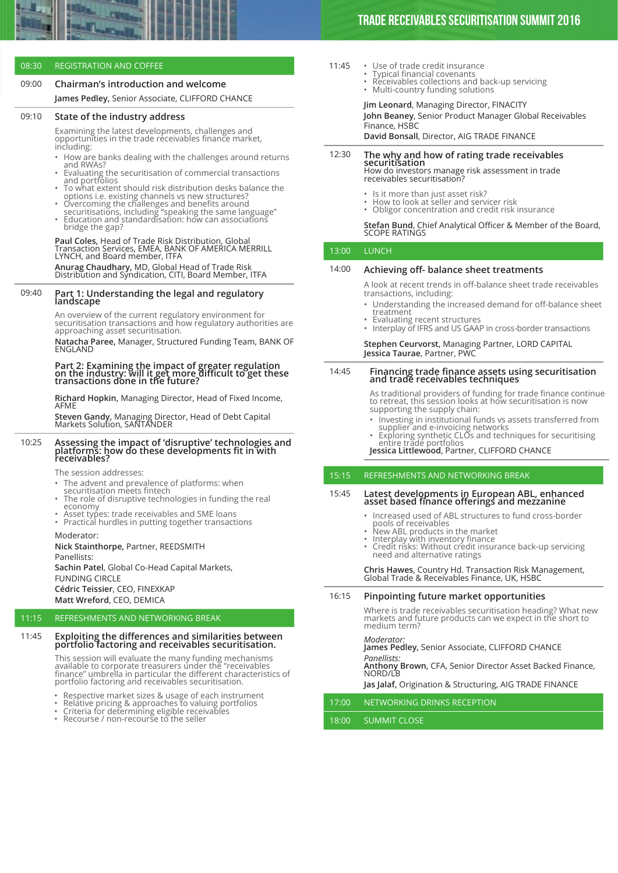#### 08:30 REGISTRATION AND COFFEE

#### 09:00 **Chairman's introduction and welcome**

**James Pedley,** Senior Associate, CLIFFORD CHANCE

#### 09:10 **State of the industry address**

Examining the latest developments, challenges and opportunities in the trade receivables finance market, including:

- How are banks dealing with the challenges around returns
- Evaluating the securitisation of commercial transactions<br>and portfolios
- To what extent should risk distribution desks balance the options i.e. existing channels vs new structures? • Overcoming the challenges and benefits around
- securitisations, including "speaking the same language" Education and standardisation: how can associations
- bridge the gap?

## **Paul Coles,** Head of Trade Risk Distribution, Global<br>Transaction Services, EMEA, BANK OF AMERICA MERRILL<br>LYNCH, and Board member, ITFA

**Anurag Chaudhary,** MD, Global Head of Trade Risk Distribution and Syndication, CITI, Board Member, ITFA

#### 09:40 **Part 1: Understanding the legal and regulatory landscape**

An overview of the current regulatory environment for securitisation transactions and how regulatory authorities are approaching asset securitisation.

**Natacha Paree, Manager, Structured Funding Team, BANK OF<br>ENGLAND** 

**Part 2: Examining the impact of greater regulation on the industry: will it get more difficult to get these transactions done in the future?**

**Richard Hopkin,** Managing Director, Head of Fixed Income, AFME

**Steven Gandy,** Managing Director, Head of Debt Capital Markets Solution, SANTANDER

### 10:25 **Assessing the impact of 'disruptive' technologies and platforms: how do these developments fit in with receivables?**

The session addresses:

- The advent and prevalence of platforms: when
- securitisation meets fintech<br>The role of disruptive technologies in funding the real<br>economy
- economy<br>• Asset types: trade receivables and SME loans<br>• Practical hurdles in putting together transactions
- 

Moderator:

**Nick Stainthorpe,** Partner, REEDSMITH Panellists: **Sachin Patel**, Global Co-Head Capital Markets,

FUNDING CIRCLE **Cédric Teissier**, CEO, FINEXKAP **Matt Wreford**, CEO, DEMICA

#### 11:15 REFRESHMENTS AND NETWORKING BREAK

### 11:45 **Exploiting the differences and similarities between portfolio factoring and receivables securitisation.**

This session will evaluate the many funding mechanisms<br>available to corporate treasurers under the "receivables<br>finance" umbrella in particular the different characteristics of<br>portfolio factoring and receivables securitis

- Respective market sizes & usage of each instrument<br>
Relative pricing & approaches to valuing portfolios<br>
Criteria for determining eligible receivables<br>
Recourse / non-recourse to the seller
- 
- 

- 11:45
- Use of trade credit insurance Typical financial covenants Receivables collections and back-up servicing
	- Multi-country funding solutions

**Jim Leonard**, Managing Director, FINACITY

**John Beaney**, Senior Product Manager Global Receivables Finance, HSBC

**David Bonsall**, Director, AIG TRADE FINANCE

### 12:30 **The why and how of rating trade receivables securitisation** How do investors manage risk assessment in trade

receivables securitisation?

- 
- Is it more than just asset risk? How to look at seller and servicer risk Obligor concentration and credit risk insurance
- 

### **Stefan Bund**, Chief Analytical Officer & Member of the Board,<br>SCOPE RATINGS

13:00 LUNCH

#### 14:00 **Achieving off- balance sheet treatments**

A look at recent trends in off-balance sheet trade receivables transactions, including:

- Understanding the increased demand for off-balance sheet
- Evaluating recent structures
- Interplay of IFRS and US GAAP in cross-border transactions

#### **Stephen Ceurvorst,** Managing Partner, LORD CAPITAL **Jessica Taurae**, Partner, PWC

### 14:45 **Financing trade finance assets using securitisation and trade receivables techniques**

As traditional providers of funding for trade finance continue to retreat, this session looks at how securitisation is now supporting the supply chain:

• Investing in institutional funds vs assets transferred from supplier and e-invoicing networks • Exploring synthetic CLOs and techniques for securitising

entire trade portfolios **Jessica Littlewood**, Partner, CLIFFORD CHANCE

#### 15:15 REFRESHMENTS AND NETWORKING BREAK

### 15:45 **Latest developments in European ABL, enhanced asset based finance offerings and mezzanine**

- Increased used of ABL structures to fund cross-border
- -
- pools of receivables<br>• New ABL products in the market<br>• New ABL products in the market<br>• Interplay with inventory finance<br>• Credit risks: Without credit insurance back-up servicing<br>• need and alternative ratings

### **Chris Hawes**, Country Hd. Transaction Risk Management, Global Trade & Receivables Finance, UK, HSBC

### 16:15 **Pinpointing future market opportunities**

Where is trade receivables securitisation heading? What new markets and future products can we expect in the short to medium term?

### *Moderator:*

**James Pedley,** Senior Associate, CLIFFORD CHANCE *Panellists:* **Anthony Brown,** CFA, Senior Director Asset Backed Finance,

### NORD/LB

**Jas Jalaf,** Origination & Structuring, AIG TRADE FINANCE

17:00 NETWORKING DRINKS RECEPTION

#### 18:00 SUMMIT CLOSE